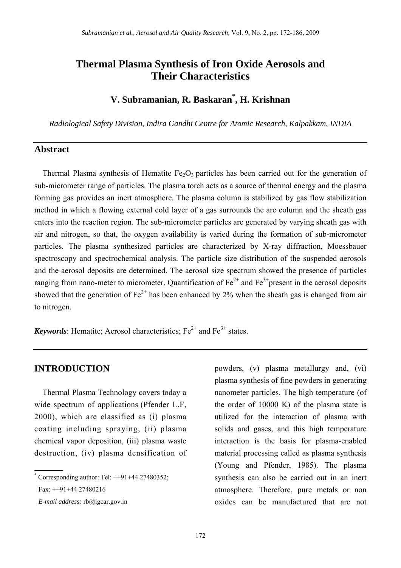# **Thermal Plasma Synthesis of Iron Oxide Aerosols and Their Characteristics**

# **V. Subramanian, R. Baskaran\* , H. Krishnan**

*Radiological Safety Division, Indira Gandhi Centre for Atomic Research, Kalpakkam, INDIA* 

## **Abstract**

Thermal Plasma synthesis of Hematite  $Fe<sub>2</sub>O<sub>3</sub>$  particles has been carried out for the generation of sub-micrometer range of particles. The plasma torch acts as a source of thermal energy and the plasma forming gas provides an inert atmosphere. The plasma column is stabilized by gas flow stabilization method in which a flowing external cold layer of a gas surrounds the arc column and the sheath gas enters into the reaction region. The sub-micrometer particles are generated by varying sheath gas with air and nitrogen, so that, the oxygen availability is varied during the formation of sub-micrometer particles. The plasma synthesized particles are characterized by X-ray diffraction, Moessbauer spectroscopy and spectrochemical analysis. The particle size distribution of the suspended aerosols and the aerosol deposits are determined. The aerosol size spectrum showed the presence of particles ranging from nano-meter to micrometer. Quantification of  $Fe^{2+}$  and  $Fe^{3+}$ present in the aerosol deposits showed that the generation of  $Fe^{2+}$  has been enhanced by 2% when the sheath gas is changed from air to nitrogen.

*Keywords*: Hematite; Aerosol characteristics;  $Fe^{2+}$  and  $Fe^{3+}$  states.

Thermal Plasma Technology covers today a wide spectrum of applications (Pfender L.F, 2000), which are classified as (i) plasma coating including spraying, (ii) plasma chemical vapor deposition, (iii) plasma waste destruction, (iv) plasma densification of

**INTRODUCTION** powders, (v) plasma metallurgy and, (vi) plasma synthesis of fine powders in generating nanometer particles. The high temperature (of the order of 10000 K) of the plasma state is utilized for the interaction of plasma with solids and gases, and this high temperature interaction is the basis for plasma-enabled material processing called as plasma synthesis (Young and Pfender, 1985). The plasma synthesis can also be carried out in an inert atmosphere. Therefore, pure metals or non oxides can be manufactured that are not

<sup>\*</sup> Corresponding author: Tel: ++91+44 27480352;

Fax: ++91+44 27480216

*E-mail address:* rb@igcar.gov.in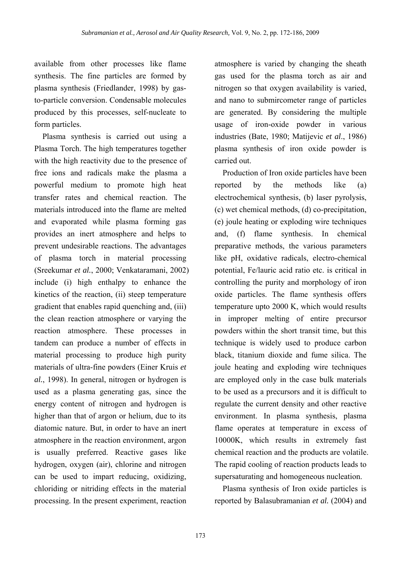available from other processes like flame synthesis. The fine particles are formed by plasma synthesis (Friedlander, 1998) by gasto-particle conversion. Condensable molecules produced by this processes, self-nucleate to form particles.

Plasma synthesis is carried out using a Plasma Torch. The high temperatures together with the high reactivity due to the presence of free ions and radicals make the plasma a powerful medium to promote high heat transfer rates and chemical reaction. The materials introduced into the flame are melted and evaporated while plasma forming gas provides an inert atmosphere and helps to prevent undesirable reactions. The advantages of plasma torch in material processing (Sreekumar *et al.*, 2000; Venkataramani, 2002) include (i) high enthalpy to enhance the kinetics of the reaction, (ii) steep temperature gradient that enables rapid quenching and, (iii) the clean reaction atmosphere or varying the reaction atmosphere. These processes in tandem can produce a number of effects in material processing to produce high purity materials of ultra-fine powders (Einer Kruis *et al.*, 1998). In general, nitrogen or hydrogen is used as a plasma generating gas, since the energy content of nitrogen and hydrogen is higher than that of argon or helium, due to its diatomic nature. But, in order to have an inert atmosphere in the reaction environment, argon is usually preferred. Reactive gases like hydrogen, oxygen (air), chlorine and nitrogen can be used to impart reducing, oxidizing, chloriding or nitriding effects in the material processing. In the present experiment, reaction

atmosphere is varied by changing the sheath gas used for the plasma torch as air and nitrogen so that oxygen availability is varied, and nano to submircometer range of particles are generated. By considering the multiple usage of iron-oxide powder in various industries (Bate, 1980; Matijevic *et al*., 1986) plasma synthesis of iron oxide powder is carried out.

Production of Iron oxide particles have been reported by the methods like (a) electrochemical synthesis, (b) laser pyrolysis, (c) wet chemical methods, (d) co-precipitation, (e) joule heating or exploding wire techniques and, (f) flame synthesis. In chemical preparative methods, the various parameters like pH, oxidative radicals, electro-chemical potential, Fe/lauric acid ratio etc. is critical in controlling the purity and morphology of iron oxide particles. The flame synthesis offers temperature upto 2000 K, which would results in improper melting of entire precursor powders within the short transit time, but this technique is widely used to produce carbon black, titanium dioxide and fume silica. The joule heating and exploding wire techniques are employed only in the case bulk materials to be used as a precursors and it is difficult to regulate the current density and other reactive environment. In plasma synthesis, plasma flame operates at temperature in excess of 10000K, which results in extremely fast chemical reaction and the products are volatile. The rapid cooling of reaction products leads to supersaturating and homogeneous nucleation.

Plasma synthesis of Iron oxide particles is reported by Balasubramanian *et al.* (2004) and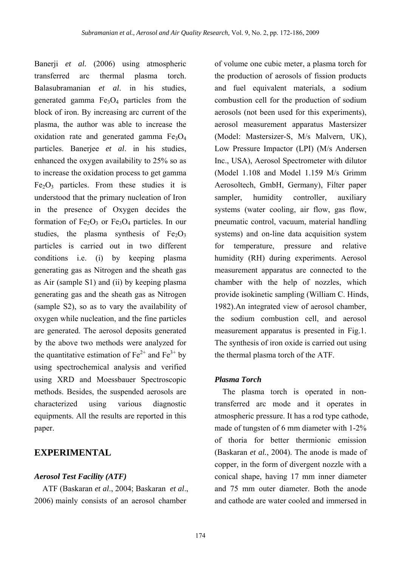Banerji *et al.* (2006) using atmospheric transferred arc thermal plasma torch. Balasubramanian *et al*. in his studies, generated gamma  $Fe<sub>3</sub>O<sub>4</sub>$  particles from the block of iron. By increasing arc current of the plasma, the author was able to increase the oxidation rate and generated gamma  $Fe<sub>3</sub>O<sub>4</sub>$ particles. Banerjee *et al*. in his studies, enhanced the oxygen availability to 25% so as to increase the oxidation process to get gamma  $Fe<sub>2</sub>O<sub>3</sub>$  particles. From these studies it is understood that the primary nucleation of Iron in the presence of Oxygen decides the formation of  $Fe<sub>2</sub>O<sub>3</sub>$  or  $Fe<sub>3</sub>O<sub>4</sub>$  particles. In our studies, the plasma synthesis of  $Fe<sub>2</sub>O<sub>3</sub>$ particles is carried out in two different conditions i.e. (i) by keeping plasma generating gas as Nitrogen and the sheath gas as Air (sample S1) and (ii) by keeping plasma generating gas and the sheath gas as Nitrogen (sample S2), so as to vary the availability of oxygen while nucleation, and the fine particles are generated. The aerosol deposits generated by the above two methods were analyzed for the quantitative estimation of  $Fe^{2+}$  and  $Fe^{3+}$  by using spectrochemical analysis and verified using XRD and Moessbauer Spectroscopic methods. Besides, the suspended aerosols are characterized using various diagnostic equipments. All the results are reported in this paper.

## **EXPERIMENTAL**

#### *Aerosol Test Facility (ATF)*

ATF (Baskaran *et al*., 2004; Baskaran *et al*., 2006) mainly consists of an aerosol chamber

of volume one cubic meter, a plasma torch for the production of aerosols of fission products and fuel equivalent materials, a sodium combustion cell for the production of sodium aerosols (not been used for this experiments), aerosol measurement apparatus Mastersizer (Model: Mastersizer-S, M/s Malvern, UK), Low Pressure Impactor (LPI) (M/s Andersen Inc., USA), Aerosol Spectrometer with dilutor (Model 1.108 and Model 1.159 M/s Grimm Aerosoltech, GmbH, Germany), Filter paper sampler, humidity controller, auxiliary systems (water cooling, air flow, gas flow, pneumatic control, vacuum, material handling systems) and on-line data acquisition system for temperature, pressure and relative humidity (RH) during experiments. Aerosol measurement apparatus are connected to the chamber with the help of nozzles, which provide isokinetic sampling (William C. Hinds, 1982).An integrated view of aerosol chamber, the sodium combustion cell, and aerosol measurement apparatus is presented in Fig.1. The synthesis of iron oxide is carried out using the thermal plasma torch of the ATF.

### *Plasma Torch*

The plasma torch is operated in nontransferred arc mode and it operates in atmospheric pressure. It has a rod type cathode, made of tungsten of 6 mm diameter with 1-2% of thoria for better thermionic emission (Baskaran *et al.*, 2004). The anode is made of copper, in the form of divergent nozzle with a conical shape, having 17 mm inner diameter and 75 mm outer diameter. Both the anode and cathode are water cooled and immersed in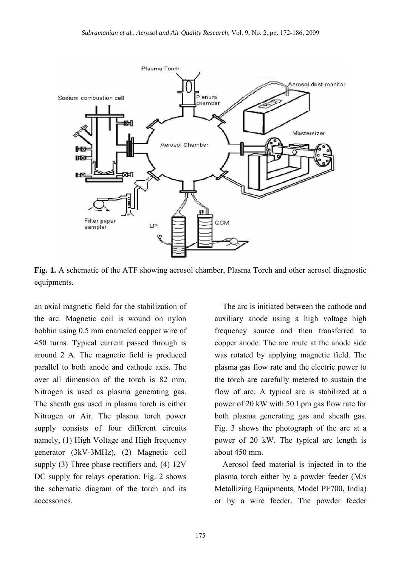

**Fig. 1.** A schematic of the ATF showing aerosol chamber, Plasma Torch and other aerosol diagnostic equipments.

an axial magnetic field for the stabilization of the arc. Magnetic coil is wound on nylon bobbin using 0.5 mm enameled copper wire of 450 turns. Typical current passed through is around 2 A. The magnetic field is produced parallel to both anode and cathode axis. The over all dimension of the torch is 82 mm. Nitrogen is used as plasma generating gas. The sheath gas used in plasma torch is either Nitrogen or Air. The plasma torch power supply consists of four different circuits namely, (1) High Voltage and High frequency generator (3kV-3MHz), (2) Magnetic coil supply (3) Three phase rectifiers and, (4) 12V DC supply for relays operation. Fig. 2 shows the schematic diagram of the torch and its accessories.

The arc is initiated between the cathode and auxiliary anode using a high voltage high frequency source and then transferred to copper anode. The arc route at the anode side was rotated by applying magnetic field. The plasma gas flow rate and the electric power to the torch are carefully metered to sustain the flow of arc. A typical arc is stabilized at a power of 20 kW with 50 Lpm gas flow rate for both plasma generating gas and sheath gas. Fig. 3 shows the photograph of the arc at a power of 20 kW. The typical arc length is about 450 mm.

Aerosol feed material is injected in to the plasma torch either by a powder feeder (M/s Metallizing Equipments, Model PF700, India) or by a wire feeder. The powder feeder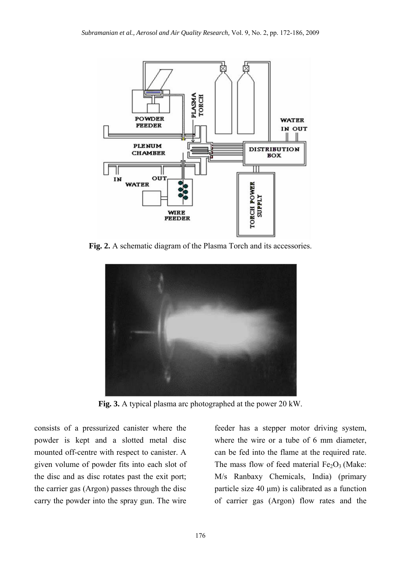

**Fig. 2.** A schematic diagram of the Plasma Torch and its accessories.



**Fig. 3.** A typical plasma arc photographed at the power 20 kW.

consists of a pressurized canister where the powder is kept and a slotted metal disc mounted off-centre with respect to canister. A given volume of powder fits into each slot of the disc and as disc rotates past the exit port; the carrier gas (Argon) passes through the disc carry the powder into the spray gun. The wire

feeder has a stepper motor driving system, where the wire or a tube of 6 mm diameter, can be fed into the flame at the required rate. The mass flow of feed material  $Fe<sub>2</sub>O<sub>3</sub>$  (Make: M/s Ranbaxy Chemicals, India) (primary particle size 40 μm) is calibrated as a function of carrier gas (Argon) flow rates and the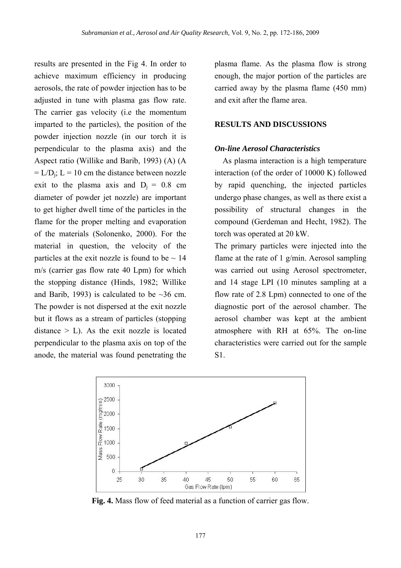results are presented in the Fig 4. In order to achieve maximum efficiency in producing aerosols, the rate of powder injection has to be adjusted in tune with plasma gas flow rate. The carrier gas velocity (i.e the momentum imparted to the particles), the position of the powder injection nozzle (in our torch it is perpendicular to the plasma axis) and the Aspect ratio (Willike and Barib, 1993) (A) (A  $= L/D_i$ ;  $L = 10$  cm the distance between nozzle exit to the plasma axis and  $D_i = 0.8$  cm diameter of powder jet nozzle) are important to get higher dwell time of the particles in the flame for the proper melting and evaporation of the materials (Solonenko, 2000). For the material in question, the velocity of the particles at the exit nozzle is found to be  $\sim$  14 m/s (carrier gas flow rate 40 Lpm) for which the stopping distance (Hinds, 1982; Willike and Barib, 1993) is calculated to be  $\sim$ 36 cm. The powder is not dispersed at the exit nozzle but it flows as a stream of particles (stopping distance  $>$  L). As the exit nozzle is located perpendicular to the plasma axis on top of the anode, the material was found penetrating the

plasma flame. As the plasma flow is strong enough, the major portion of the particles are carried away by the plasma flame (450 mm) and exit after the flame area.

## **RESULTS AND DISCUSSIONS**

## *On-line Aerosol Characteristics*

As plasma interaction is a high temperature interaction (of the order of 10000 K) followed by rapid quenching, the injected particles undergo phase changes, as well as there exist a possibility of structural changes in the compound (Gerdeman and Hecht, 1982). The torch was operated at 20 kW.

The primary particles were injected into the flame at the rate of 1 g/min. Aerosol sampling was carried out using Aerosol spectrometer, and 14 stage LPI (10 minutes sampling at a flow rate of 2.8 Lpm) connected to one of the diagnostic port of the aerosol chamber. The aerosol chamber was kept at the ambient atmosphere with RH at 65%. The on-line characteristics were carried out for the sample S1.



**Fig. 4.** Mass flow of feed material as a function of carrier gas flow.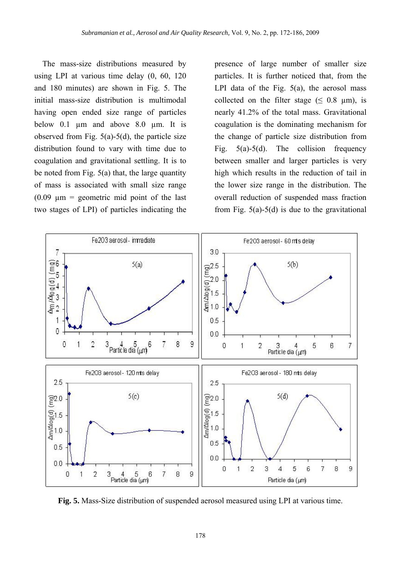The mass-size distributions measured by using LPI at various time delay (0, 60, 120 and 180 minutes) are shown in Fig. 5. The initial mass-size distribution is multimodal having open ended size range of particles below 0.1  $\mu$ m and above 8.0  $\mu$ m. It is observed from Fig.  $5(a)$ - $5(d)$ , the particle size distribution found to vary with time due to coagulation and gravitational settling. It is to be noted from Fig.  $5(a)$  that, the large quantity of mass is associated with small size range  $(0.09 \text{ nm} = \text{geometric mid point of the last})$ two stages of LPI) of particles indicating the

presence of large number of smaller size particles. It is further noticed that, from the LPI data of the Fig.  $5(a)$ , the aerosol mass collected on the filter stage  $(6.8 \text{ nm})$ , is nearly 41.2% of the total mass. Gravitational coagulation is the dominating mechanism for the change of particle size distribution from Fig.  $5(a)-5(d)$ . The collision frequency between smaller and larger particles is very high which results in the reduction of tail in the lower size range in the distribution. The overall reduction of suspended mass fraction from Fig.  $5(a)-5(d)$  is due to the gravitational



**Fig. 5.** Mass-Size distribution of suspended aerosol measured using LPI at various time.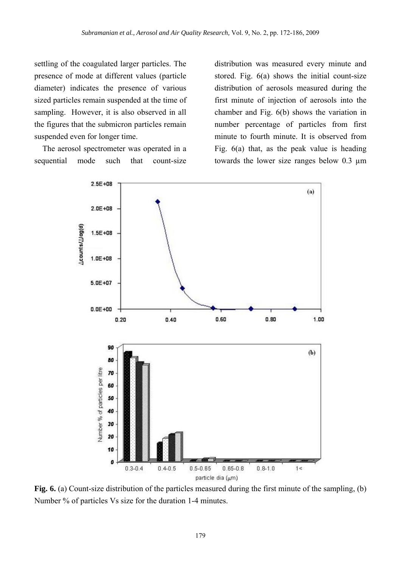settling of the coagulated larger particles. The presence of mode at different values (particle diameter) indicates the presence of various sized particles remain suspended at the time of sampling. However, it is also observed in all the figures that the submicron particles remain suspended even for longer time.

The aerosol spectrometer was operated in a sequential mode such that count-size distribution was measured every minute and stored. Fig. 6(a) shows the initial count-size distribution of aerosols measured during the first minute of injection of aerosols into the chamber and Fig. 6(b) shows the variation in number percentage of particles from first minute to fourth minute. It is observed from Fig. 6(a) that, as the peak value is heading towards the lower size ranges below 0.3 µm



**Fig. 6.** (a) Count-size distribution of the particles measured during the first minute of the sampling, (b) Number % of particles Vs size for the duration 1-4 minutes.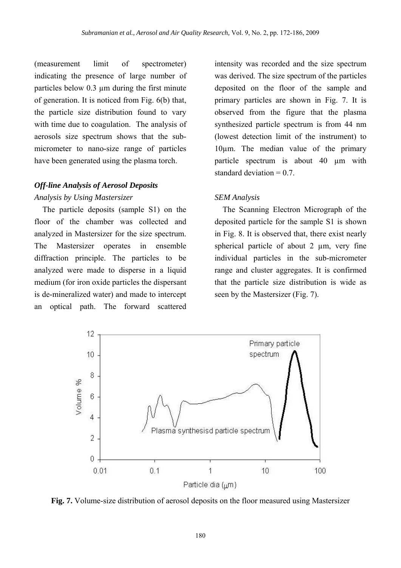(measurement limit of spectrometer) indicating the presence of large number of particles below 0.3 um during the first minute of generation. It is noticed from Fig. 6(b) that, the particle size distribution found to vary with time due to coagulation. The analysis of aerosols size spectrum shows that the submicrometer to nano-size range of particles have been generated using the plasma torch.

## *Off-line Analysis of Aerosol Deposits*

### *Analysis by Using Mastersizer*

The particle deposits (sample S1) on the floor of the chamber was collected and analyzed in Mastersizer for the size spectrum. The Mastersizer operates in ensemble diffraction principle. The particles to be analyzed were made to disperse in a liquid medium (for iron oxide particles the dispersant is de-mineralized water) and made to intercept an optical path. The forward scattered

intensity was recorded and the size spectrum was derived. The size spectrum of the particles deposited on the floor of the sample and primary particles are shown in Fig. 7. It is observed from the figure that the plasma synthesized particle spectrum is from 44 nm (lowest detection limit of the instrument) to 10µm. The median value of the primary particle spectrum is about 40 um with standard deviation  $= 0.7$ .

## *SEM Analysis*

The Scanning Electron Micrograph of the deposited particle for the sample S1 is shown in Fig. 8. It is observed that, there exist nearly spherical particle of about 2  $\mu$ m, very fine individual particles in the sub-micrometer range and cluster aggregates. It is confirmed that the particle size distribution is wide as seen by the Mastersizer (Fig. 7).



**Fig. 7.** Volume-size distribution of aerosol deposits on the floor measured using Mastersizer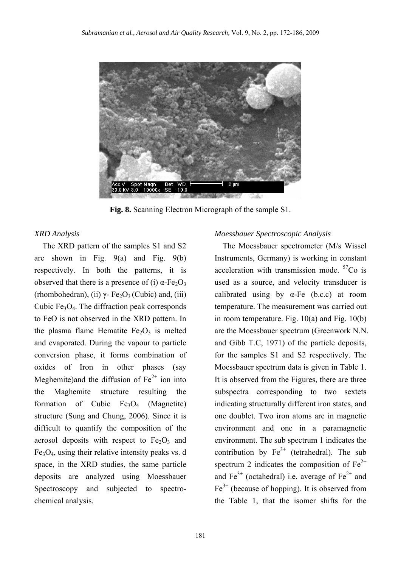

**Fig. 8.** Scanning Electron Micrograph of the sample S1.

The XRD pattern of the samples S1 and S2 are shown in Fig.  $9(a)$  and Fig.  $9(b)$ respectively. In both the patterns, it is observed that there is a presence of (i)  $α$ -Fe<sub>2</sub>O<sub>3</sub> (rhombohedran), (ii)  $\gamma$ - Fe<sub>2</sub>O<sub>3</sub> (Cubic) and, (iii) Cubic  $Fe<sub>3</sub>O<sub>4</sub>$ . The diffraction peak corresponds to FeO is not observed in the XRD pattern. In the plasma flame Hematite  $Fe<sub>2</sub>O<sub>3</sub>$  is melted and evaporated. During the vapour to particle conversion phase, it forms combination of oxides of Iron in other phases (say Meghemite)and the diffusion of  $Fe<sup>2+</sup>$  ion into the Maghemite structure resulting the formation of Cubic  $Fe<sub>3</sub>O<sub>4</sub>$  (Magnetite) structure (Sung and Chung, 2006). Since it is difficult to quantify the composition of the aerosol deposits with respect to  $Fe<sub>2</sub>O<sub>3</sub>$  and  $Fe<sub>3</sub>O<sub>4</sub>$ , using their relative intensity peaks vs. d space, in the XRD studies, the same particle deposits are analyzed using Moessbauer Spectroscopy and subjected to spectrochemical analysis.

## *XRD Analysis Moessbauer Spectroscopic Analysis*

The Moessbauer spectrometer (M/s Wissel Instruments, Germany) is working in constant acceleration with transmission mode.  ${}^{57}Co$  is used as a source, and velocity transducer is calibrated using by  $\alpha$ -Fe (b.c.c) at room temperature. The measurement was carried out in room temperature. Fig. 10(a) and Fig. 10(b) are the Moessbauer spectrum (Greenwork N.N. and Gibb T.C, 1971) of the particle deposits, for the samples S1 and S2 respectively. The Moessbauer spectrum data is given in Table 1. It is observed from the Figures, there are three subspectra corresponding to two sextets indicating structurally different iron states, and one doublet. Two iron atoms are in magnetic environment and one in a paramagnetic environment. The sub spectrum 1 indicates the contribution by  $Fe^{3+}$  (tetrahedral). The sub spectrum 2 indicates the composition of  $Fe^{2+}$ and  $Fe^{3+}$  (octahedral) i.e. average of  $Fe^{2+}$  and  $Fe<sup>3+</sup>$  (because of hopping). It is observed from the Table 1, that the isomer shifts for the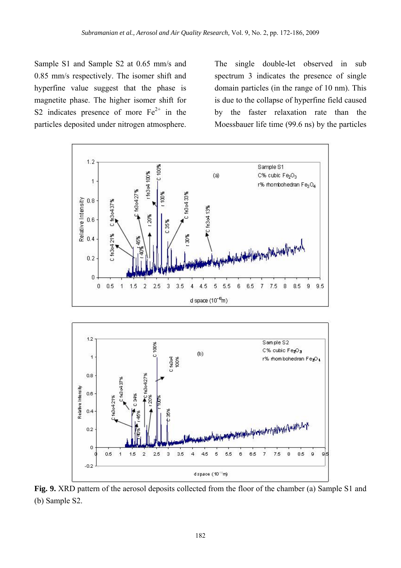Sample S1 and Sample S2 at 0.65 mm/s and 0.85 mm/s respectively. The isomer shift and hyperfine value suggest that the phase is magnetite phase. The higher isomer shift for S2 indicates presence of more  $Fe<sup>2+</sup>$  in the particles deposited under nitrogen atmosphere.

The single double-let observed in sub spectrum 3 indicates the presence of single domain particles (in the range of 10 nm). This is due to the collapse of hyperfine field caused by the faster relaxation rate than the Moessbauer life time (99.6 ns) by the particles





**Fig. 9.** XRD pattern of the aerosol deposits collected from the floor of the chamber (a) Sample S1 and (b) Sample S2.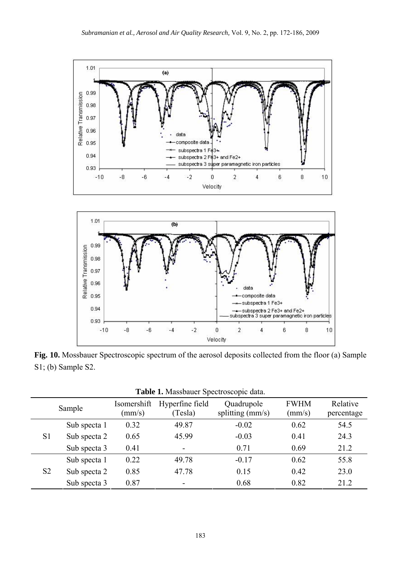



**Fig. 10.** Mossbauer Spectroscopic spectrum of the aerosol deposits collected from the floor (a) Sample S1; (b) Sample S2.

| Sample         |              | Isomershift<br>$\text{(mm/s)}$ | Hyperfine field<br>(Tesla) | Quadrupole<br>splitting $(mm/s)$ | <b>FWHM</b><br>(mm/s) | Relative<br>percentage |
|----------------|--------------|--------------------------------|----------------------------|----------------------------------|-----------------------|------------------------|
| S <sub>1</sub> | Sub specta 1 | 0.32                           | 49.87                      | $-0.02$                          | 0.62                  | 54.5                   |
|                | Sub specta 2 | 0.65                           | 45.99                      | $-0.03$                          | 0.41                  | 24.3                   |
|                | Sub specta 3 | 0.41                           | Ξ.                         | 0.71                             | 0.69                  | 21.2                   |
| S <sub>2</sub> | Sub specta 1 | 0.22                           | 49.78                      | $-0.17$                          | 0.62                  | 55.8                   |
|                | Sub specta 2 | 0.85                           | 47.78                      | 0.15                             | 0.42                  | 23.0                   |
|                | Sub specta 3 | 0.87                           | $\overline{\phantom{0}}$   | 0.68                             | 0.82                  | 21.2                   |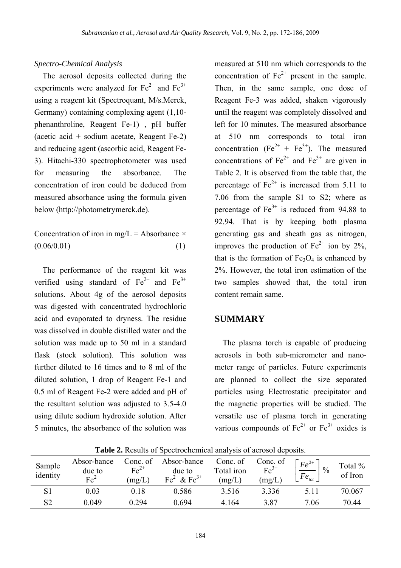## *Spectro-Chemical Analysis*

The aerosol deposits collected during the experiments were analyzed for  $Fe^{2+}$  and  $Fe^{3+}$ using a reagent kit (Spectroquant, M/s.Merck, Germany) containing complexing agent (1,10 phenanthroline, Reagent Fe-1) , pH buffer (acetic acid + sodium acetate, Reagent Fe-2) and reducing agent (ascorbic acid, Reagent Fe-3). Hitachi-330 spectrophotometer was used for measuring the absorbance. The concentration of iron could be deduced from measured absorbance using the formula given below (http://photometrymerck.de).

Concentration of iron in mg/L = Absorbance  $\times$  $(0.06/0.01)$  (1)

The performance of the reagent kit was verified using standard of  $Fe^{2+}$  and  $Fe^{3+}$ solutions. About 4g of the aerosol deposits was digested with concentrated hydrochloric acid and evaporated to dryness. The residue was dissolved in double distilled water and the solution was made up to 50 ml in a standard flask (stock solution). This solution was further diluted to 16 times and to 8 ml of the diluted solution, 1 drop of Reagent Fe-1 and 0.5 ml of Reagent Fe-2 were added and pH of the resultant solution was adjusted to 3.5-4.0 using dilute sodium hydroxide solution. After 5 minutes, the absorbance of the solution was

measured at 510 nm which corresponds to the concentration of  $Fe<sup>2+</sup>$  present in the sample. Then, in the same sample, one dose of Reagent Fe-3 was added, shaken vigorously until the reagent was completely dissolved and left for 10 minutes. The measured absorbance at 510 nm corresponds to total iron concentration  $(Fe^{2+} + Fe^{3+})$ . The measured concentrations of  $Fe^{2+}$  and  $Fe^{3+}$  are given in Table 2. It is observed from the table that, the percentage of  $Fe^{2+}$  is increased from 5.11 to 7.06 from the sample S1 to S2; where as percentage of  $Fe<sup>3+</sup>$  is reduced from 94.88 to 92.94. That is by keeping both plasma generating gas and sheath gas as nitrogen, improves the production of  $Fe^{2+}$  ion by 2%. that is the formation of  $Fe<sub>3</sub>O<sub>4</sub>$  is enhanced by 2%. However, the total iron estimation of the two samples showed that, the total iron content remain same.

## **SUMMARY**

The plasma torch is capable of producing aerosols in both sub-micrometer and nanometer range of particles. Future experiments are planned to collect the size separated particles using Electrostatic precipitator and the magnetic properties will be studied. The versatile use of plasma torch in generating various compounds of  $Fe^{2+}$  or  $Fe^{3+}$  oxides is

| Sample<br>identity | Absor-bance<br>due to<br>$\text{Fe}^{2+}$ | Conc. of<br>$Fe2+$<br>(mg/L) | Absor-bance<br>due to<br>$Fe^{2+} & Fe^{3+}$ | Conc. of<br>Total iron<br>(mg/L) | Conc. of<br>$Fe3+$<br>(mg/L) | $Fe^{2+}$<br>$\frac{0}{0}$<br>$\perp$ Fe <sub>tot</sub> | Total %<br>of Iron |
|--------------------|-------------------------------------------|------------------------------|----------------------------------------------|----------------------------------|------------------------------|---------------------------------------------------------|--------------------|
|                    | 0.03                                      | 0.18                         | 0.586                                        | 3.516                            | 3.336                        | 5.11                                                    | 70.067             |
| S2                 | 0.049                                     | 0.294                        | 0.694                                        | 4.164                            | 3.87                         | 7.06                                                    | 70.44              |

**Table 2.** Results of Spectrochemical analysis of aerosol deposits.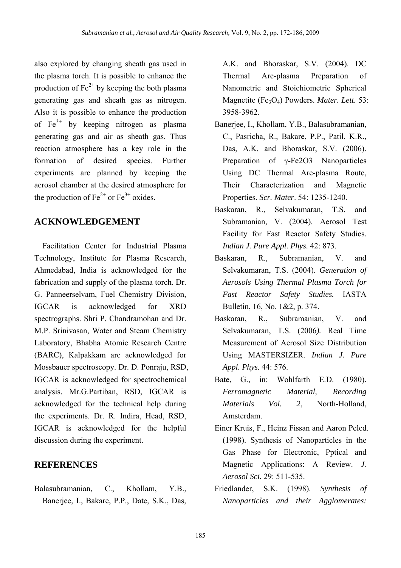also explored by changing sheath gas used in the plasma torch. It is possible to enhance the production of  $Fe^{2+}$  by keeping the both plasma generating gas and sheath gas as nitrogen. Also it is possible to enhance the production of  $Fe^{3+}$  by keeping nitrogen as plasma generating gas and air as sheath gas. Thus reaction atmosphere has a key role in the formation of desired species. Further experiments are planned by keeping the aerosol chamber at the desired atmosphere for the production of  $Fe^{2+}$  or  $Fe^{3+}$  oxides.

## **ACKNOWLEDGEMENT**

Facilitation Center for Industrial Plasma Technology, Institute for Plasma Research, Ahmedabad, India is acknowledged for the fabrication and supply of the plasma torch. Dr. G. Panneerselvam, Fuel Chemistry Division, IGCAR is acknowledged for XRD spectrographs. Shri P. Chandramohan and Dr. M.P. Srinivasan, Water and Steam Chemistry Laboratory, Bhabha Atomic Research Centre (BARC), Kalpakkam are acknowledged for Mossbauer spectroscopy. Dr. D. Ponraju, RSD, IGCAR is acknowledged for spectrochemical analysis. Mr.G.Partiban, RSD, IGCAR is acknowledged for the technical help during the experiments. Dr. R. Indira, Head, RSD, IGCAR is acknowledged for the helpful discussion during the experiment.

## **REFERENCES**

Balasubramanian, C., Khollam, Y.B., Banerjee, I., Bakare, P.P., Date, S.K., Das, A.K. and Bhoraskar, S.V. (2004). DC Thermal Arc-plasma Preparation of Nanometric and Stoichiometric Spherical Magnetite (Fe3O4) Powders. *Mater. Lett.* 53: 3958-3962.

- Banerjee, I., Khollam, Y.B., Balasubramanian, C., Pasricha, R., Bakare, P.P., Patil, K.R., Das, A.K. and Bhoraskar, S.V. (2006). Preparation of γ-Fe2O3 Nanoparticles Using DC Thermal Arc-plasma Route, Their Characterization and Magnetic Properties. *Scr. Mater*. 54: 1235-1240.
- Baskaran, R., Selvakumaran, T.S. and Subramanian, V. (2004). Aerosol Test Facility for Fast Reactor Safety Studies. *Indian J. Pure Appl. Phys.* 42: 873.
- Baskaran, R., Subramanian, V., and Selvakumaran, T.S. (2004). *Generation of Aerosols Using Thermal Plasma Torch for Fast Reactor Safety Studies.* IASTA Bulletin, 16, No. 1&2, p. 374.
- Baskaran, R., Subramanian, V. and Selvakumaran, T.S. (2006*).* Real Time Measurement of Aerosol Size Distribution Using MASTERSIZER. *Indian J. Pure Appl. Phys.* 44: 576.
- Bate, G., in: Wohlfarth E.D. (1980). *Ferromagnetic Material, Recording Materials Vol. 2*, North-Holland, Amsterdam.
- Einer Kruis, F., Heinz Fissan and Aaron Peled. (1998). Synthesis of Nanoparticles in the Gas Phase for Electronic, Pptical and Magnetic Applications: A Review. *J. Aerosol Sci.* 29: 511-535.
- Friedlander, S.K. (1998). *Synthesis of Nanoparticles and their Agglomerates:*